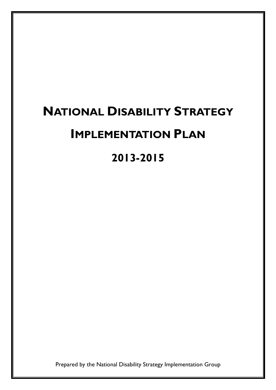# NATIONAL DISABILITY STRATEGY IMPLEMENTATION PLAN

2013-2015

Prepared by the National Disability Strategy Implementation Group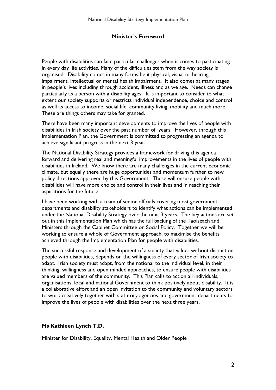#### Minister's Foreword

People with disabilities can face particular challenges when it comes to participating in every day life activities. Many of the difficulties stem from the way society is organised. Disability comes in many forms be it physical, visual or hearing impairment, intellectual or mental health impairment. It also comes at many stages in people's lives including through accident, illness and as we age. Needs can change particularly as a person with a disability ages. It is important to consider to what extent our society supports or restricts individual independence, choice and control as well as access to income, social life, community living, mobility and much more. These are things others may take for granted.

There have been many important developments to improve the lives of people with disabilities in Irish society over the past number of years. However, through this Implementation Plan, the Government is committed to progressing an agenda to achieve significant progress in the next 3 years.

The National Disability Strategy provides a framework for driving this agenda forward and delivering real and meaningful improvements in the lives of people with disabilities in Ireland. We know there are many challenges in the current economic climate, but equally there are huge opportunities and momentum further to new policy directions approved by this Government. These will ensure people with disabilities will have more choice and control in their lives and in reaching their aspirations for the future.

I have been working with a team of senior officials covering most government departments and disability stakeholders to identify what actions can be implemented under the National Disability Strategy over the next 3 years. The key actions are set out in this Implementation Plan which has the full backing of the Taoiseach and Ministers through the Cabinet Committee on Social Policy. Together we will be working to ensure a whole of Government approach, to maximise the benefits achieved through the Implementation Plan for people with disabilities.

The successful response and development of a society that values without distinction people with disabilities, depends on the willingness of every sector of Irish society to adapt. Irish society must adapt, from the national to the individual level, in their thinking, willingness and open minded approaches, to ensure people with disabilities are valued members of the community. This Plan calls to action all individuals, organisations, local and national Government to think positively about disability. It is a collaborative effort and an open invitation to the community and voluntary sectors to work creatively together with statutory agencies and government departments to improve the lives of people with disabilities over the next three years.

#### Ms Kathleen Lynch T.D.

Minister for Disability, Equality, Mental Health and Older People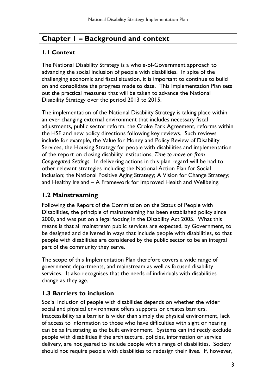# Chapter 1 – Background and context

## 1.1 Context

The National Disability Strategy is a whole-of-Government approach to advancing the social inclusion of people with disabilities. In spite of the challenging economic and fiscal situation, it is important to continue to build on and consolidate the progress made to date. This Implementation Plan sets out the practical measures that will be taken to advance the National Disability Strategy over the period 2013 to 2015.

The implementation of the National Disability Strategy is taking place within an ever changing external environment that includes necessary fiscal adjustments, public sector reform, the Croke Park Agreement, reforms within the HSE and new policy directions following key reviews. Such reviews include for example, the Value for Money and Policy Review of Disability Services, the Housing Strategy for people with disabilities and implementation of the report on closing disability institutions, Time to move on from Congregated Settings. In delivering actions in this plan regard will be had to other relevant strategies including the National Action Plan for Social Inclusion; the National Positive Aging Strategy; A Vision for Change Strategy; and Healthy Ireland – A Framework for Improved Health and Wellbeing.

## 1.2 Mainstreaming

Following the Report of the Commission on the Status of People with Disabilities, the principle of mainstreaming has been established policy since 2000, and was put on a legal footing in the Disability Act 2005. What this means is that all mainstream public services are expected, by Government, to be designed and delivered in ways that include people with disabilities, so that people with disabilities are considered by the public sector to be an integral part of the community they serve.

The scope of this Implementation Plan therefore covers a wide range of government departments, and mainstream as well as focused disability services. It also recognises that the needs of individuals with disabilities change as they age.

## 1.3 Barriers to inclusion

Social inclusion of people with disabilities depends on whether the wider social and physical environment offers supports or creates barriers. Inaccessibility as a barrier is wider than simply the physical environment, lack of access to information to those who have difficulties with sight or hearing can be as frustrating as the built environment. Systems can indirectly exclude people with disabilities if the architecture, policies, information or service delivery, are not geared to include people with a range of disabilities. Society should not require people with disabilities to redesign their lives. If, however,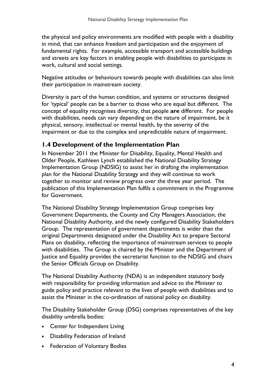the physical and policy environments are modified with people with a disability in mind, that can enhance freedom and participation and the enjoyment of fundamental rights. For example, accessible transport and accessible buildings and streets are key factors in enabling people with disabilities to participate in work, cultural and social settings.

Negative attitudes or behaviours towards people with disabilities can also limit their participation in mainstream society.

Diversity is part of the human condition, and systems or structures designed for 'typical' people can be a barrier to those who are equal but different. The concept of equality recognises diversity, that people are different. For people with disabilities, needs can vary depending on the nature of impairment, be it physical, sensory, intellectual or mental health, by the severity of the impairment or due to the complex and unpredictable nature of impairment.

## 1.4 Development of the Implementation Plan

In November 2011 the Minister for Disability, Equality, Mental Health and Older People, Kathleen Lynch established the National Disability Strategy Implementation Group (NDSIG) to assist her in drafting the implementation plan for the National Disability Strategy and they will continue to work together to monitor and review progress over the three year period. The publication of this Implementation Plan fulfils a commitment in the Programme for Government.

The National Disability Strategy Implementation Group comprises key Government Departments, the County and City Managers Association, the National Disability Authority, and the newly configured Disability Stakeholders Group. The representation of government departments is wider than the original Departments designated under the Disability Act to prepare Sectoral Plans on disability, reflecting the importance of mainstream services to people with disabilities. The Group is chaired by the Minister and the Department of Justice and Equality provides the secretariat function to the NDSIG and chairs the Senior Officials Group on Disability.

The National Disability Authority (NDA) is an independent statutory body with responsibility for providing information and advice to the Minister to guide policy and practice relevant to the lives of people with disabilities and to assist the Minister in the co-ordination of national policy on disability.

The Disability Stakeholder Group (DSG) comprises representatives of the key disability umbrella bodies:

- Center for Independent Living
- Disability Federation of Ireland
- Federation of Voluntary Bodies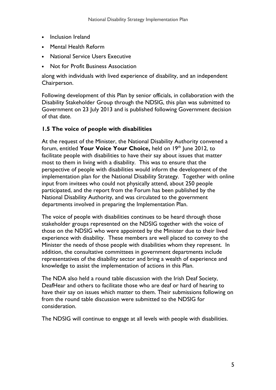- Inclusion Ireland
- Mental Health Reform
- National Service Users Executive
- Not for Profit Business Association

along with individuals with lived experience of disability, and an independent Chairperson.

Following development of this Plan by senior officials, in collaboration with the Disability Stakeholder Group through the NDSIG, this plan was submitted to Government on 23 July 2013 and is published following Government decision of that date.

#### 1.5 The voice of people with disabilities

At the request of the Minister, the National Disability Authority convened a forum, entitled Your Voice Your Choice, held on  $19<sup>th</sup>$  June 2012, to facilitate people with disabilities to have their say about issues that matter most to them in living with a disability. This was to ensure that the perspective of people with disabilities would inform the development of the implementation plan for the National Disability Strategy. Together with online input from invitees who could not physically attend, about 250 people participated, and the report from the Forum has been published by the National Disability Authority, and was circulated to the government departments involved in preparing the Implementation Plan.

The voice of people with disabilities continues to be heard through those stakeholder groups represented on the NDSIG together with the voice of those on the NDSIG who were appointed by the Minister due to their lived experience with disability. These members are well placed to convey to the Minister the needs of those people with disabilities whom they represent. In addition, the consultative committees in government departments include representatives of the disability sector and bring a wealth of experience and knowledge to assist the implementation of actions in this Plan.

The NDA also held a round table discussion with the Irish Deaf Society, DeafHear and others to facilitate those who are deaf or hard of hearing to have their say on issues which matter to them. Their submissions following on from the round table discussion were submitted to the NDSIG for consideration.

The NDSIG will continue to engage at all levels with people with disabilities.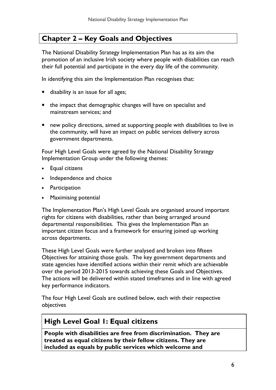# Chapter 2 – Key Goals and Objectives

The National Disability Strategy Implementation Plan has as its aim the promotion of an inclusive Irish society where people with disabilities can reach their full potential and participate in the every day life of the community.

In identifying this aim the Implementation Plan recognises that:

- disability is an issue for all ages;
- the impact that demographic changes will have on specialist and mainstream services; and
- new policy directions, aimed at supporting people with disabilities to live in the community, will have an impact on public services delivery across government departments.

Four High Level Goals were agreed by the National Disability Strategy Implementation Group under the following themes:

- Equal citizens
- Independence and choice
- Participation
- Maximising potential

The Implementation Plan's High Level Goals are organised around important rights for citizens with disabilities, rather than being arranged around departmental responsibilities. This gives the Implementation Plan an important citizen focus and a framework for ensuring joined up working across departments.

These High Level Goals were further analysed and broken into fifteen Objectives for attaining those goals. The key government departments and state agencies have identified actions within their remit which are achievable over the period 2013-2015 towards achieving these Goals and Objectives. The actions will be delivered within stated timeframes and in line with agreed key performance indicators.

The four High Level Goals are outlined below, each with their respective objectives

## High Level Goal 1: Equal citizens

People with disabilities are free from discrimination. They are treated as equal citizens by their fellow citizens. They are included as equals by public services which welcome and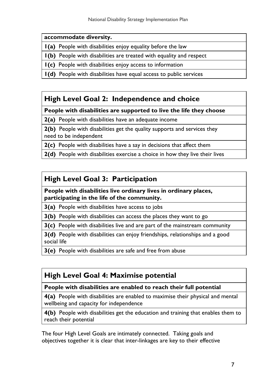#### accommodate diversity.

1(a) People with disabilities enjoy equality before the law

1(b) People with disabilities are treated with equality and respect

1(c) People with disabilities enjoy access to information

1(d) People with disabilities have equal access to public services

# High Level Goal 2: Independence and choice

#### People with disabilities are supported to live the life they choose

2(a) People with disabilities have an adequate income

2(b) People with disabilities get the quality supports and services they need to be independent

2(c) People with disabilities have a say in decisions that affect them

2(d) People with disabilities exercise a choice in how they live their lives

# High Level Goal 3: Participation

#### People with disabilities live ordinary lives in ordinary places, participating in the life of the community.

**3(a)** People with disabilities have access to jobs

3(b) People with disabilities can access the places they want to go

3(c) People with disabilities live and are part of the mainstream community

3(d) People with disabilities can enjoy friendships, relationships and a good social life

3(e) People with disabilities are safe and free from abuse

# High Level Goal 4: Maximise potential

## People with disabilities are enabled to reach their full potential

4(a) People with disabilities are enabled to maximise their physical and mental wellbeing and capacity for independence

4(b) People with disabilities get the education and training that enables them to reach their potential

The four High Level Goals are intimately connected. Taking goals and objectives together it is clear that inter-linkages are key to their effective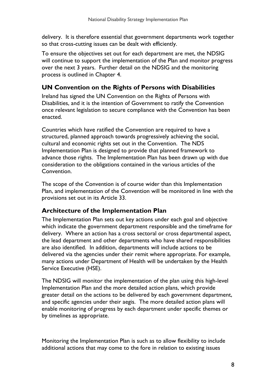delivery. It is therefore essential that government departments work together so that cross-cutting issues can be dealt with efficiently.

To ensure the objectives set out for each department are met, the NDSIG will continue to support the implementation of the Plan and monitor progress over the next 3 years. Further detail on the NDSIG and the monitoring process is outlined in Chapter 4.

## UN Convention on the Rights of Persons with Disabilities

Ireland has signed the UN Convention on the Rights of Persons with Disabilities, and it is the intention of Government to ratify the Convention once relevant legislation to secure compliance with the Convention has been enacted.

Countries which have ratified the Convention are required to have a structured, planned approach towards progressively achieving the social, cultural and economic rights set out in the Convention. The NDS Implementation Plan is designed to provide that planned framework to advance those rights. The Implementation Plan has been drawn up with due consideration to the obligations contained in the various articles of the Convention.

The scope of the Convention is of course wider than this Implementation Plan, and implementation of the Convention will be monitored in line with the provisions set out in its Article 33.

## Architecture of the Implementation Plan

The Implementation Plan sets out key actions under each goal and objective which indicate the government department responsible and the timeframe for delivery. Where an action has a cross sectoral or cross departmental aspect, the lead department and other departments who have shared responsibilities are also identified. In addition, departments will include actions to be delivered via the agencies under their remit where appropriate. For example, many actions under Department of Health will be undertaken by the Health Service Executive (HSE).

The NDSIG will monitor the implementation of the plan using this high-level Implementation Plan and the more detailed action plans, which provide greater detail on the actions to be delivered by each government department, and specific agencies under their aegis. The more detailed action plans will enable monitoring of progress by each department under specific themes or by timelines as appropriate.

Monitoring the Implementation Plan is such as to allow flexibility to include additional actions that may come to the fore in relation to existing issues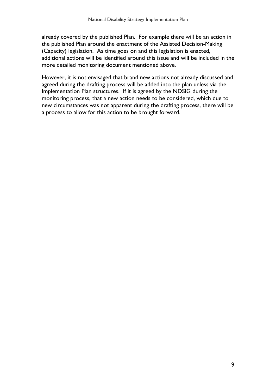already covered by the published Plan. For example there will be an action in the published Plan around the enactment of the Assisted Decision-Making (Capacity) legislation. As time goes on and this legislation is enacted, additional actions will be identified around this issue and will be included in the more detailed monitoring document mentioned above.

However, it is not envisaged that brand new actions not already discussed and agreed during the drafting process will be added into the plan unless via the Implementation Plan structures. If it is agreed by the NDSIG during the monitoring process, that a new action needs to be considered, which due to new circumstances was not apparent during the drafting process, there will be a process to allow for this action to be brought forward.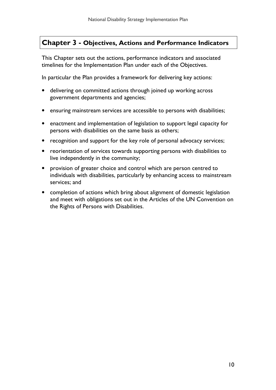## Chapter 3 - Objectives, Actions and Performance Indicators

This Chapter sets out the actions, performance indicators and associated timelines for the Implementation Plan under each of the Objectives.

In particular the Plan provides a framework for delivering key actions:

- delivering on committed actions through joined up working across government departments and agencies;
- ensuring mainstream services are accessible to persons with disabilities;
- enactment and implementation of legislation to support legal capacity for persons with disabilities on the same basis as others;
- recognition and support for the key role of personal advocacy services;
- reorientation of services towards supporting persons with disabilities to live independently in the community;
- provision of greater choice and control which are person centred to individuals with disabilities, particularly by enhancing access to mainstream services; and
- completion of actions which bring about alignment of domestic legislation and meet with obligations set out in the Articles of the UN Convention on the Rights of Persons with Disabilities.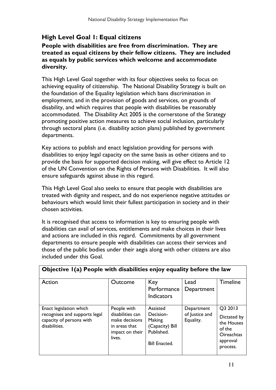## High Level Goal 1: Equal citizens

#### People with disabilities are free from discrimination. They are treated as equal citizens by their fellow citizens. They are included as equals by public services which welcome and accommodate diversity.

This High Level Goal together with its four objectives seeks to focus on achieving equality of citizenship. The National Disability Strategy is built on the foundation of the Equality legislation which bans discrimination in employment, and in the provision of goods and services, on grounds of disability, and which requires that people with disabilities be reasonably accommodated. The Disability Act 2005 is the cornerstone of the Strategy promoting positive action measures to achieve social inclusion, particularly through sectoral plans (i.e. disability action plans) published by government departments.

Key actions to publish and enact legislation providing for persons with disabilities to enjoy legal capacity on the same basis as other citizens and to provide the basis for supported decision making, will give effect to Article 12 of the UN Convention on the Rights of Persons with Disabilities. It will also ensure safeguards against abuse in this regard.

This High Level Goal also seeks to ensure that people with disabilities are treated with dignity and respect, and do not experience negative attitudes or behaviours which would limit their fullest participation in society and in their chosen activities.

It is recognised that access to information is key to ensuring people with disabilities can avail of services, entitlements and make choices in their lives and actions are included in this regard. Commitments by all government departments to ensure people with disabilities can access their services and those of the public bodies under their aegis along with other citizens are also included under this Goal.

 $\mid$  Objective  $\mid$  (a) People with disabilities enjoy equality before the law

| Action                                                                                                | Outcome                                                                                         | Key<br>Performance<br><b>Indicators</b>                                                  | Lead<br>Department                        | <b>Timeline</b>                                                                             |
|-------------------------------------------------------------------------------------------------------|-------------------------------------------------------------------------------------------------|------------------------------------------------------------------------------------------|-------------------------------------------|---------------------------------------------------------------------------------------------|
| Enact legislation which<br>recognises and supports legal<br>capacity of persons with<br>disabilities. | People with<br>disabilities can<br>make decisions<br>in areas that<br>impact on their<br>lives. | Assisted<br>Decision-<br>Making<br>(Capacity) Bill<br>Published.<br><b>Bill Enacted.</b> | Department<br>of Justice and<br>Equality. | Q3 2013<br>Dictated by<br>the Houses<br>of the<br><b>Oireachtas</b><br>approval<br>process. |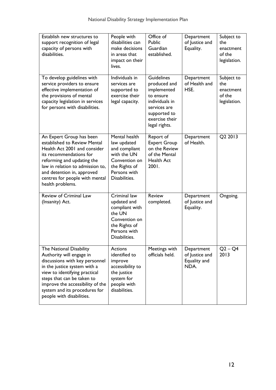| Establish new structures to<br>support recognition of legal<br>capacity of persons with<br>disabilities.                                                                                                                                                                               | People with<br>disabilities can<br>make decisions<br>in areas that<br>impact on their<br>lives.                                 | Office of<br>Public<br>Guardian<br>established.                                                                                                    | Department<br>of Justice and<br>Equality.            | Subject to<br>the<br>enactment<br>of the<br>legislation. |
|----------------------------------------------------------------------------------------------------------------------------------------------------------------------------------------------------------------------------------------------------------------------------------------|---------------------------------------------------------------------------------------------------------------------------------|----------------------------------------------------------------------------------------------------------------------------------------------------|------------------------------------------------------|----------------------------------------------------------|
| To develop guidelines with<br>service providers to ensure<br>effective implementation of<br>the provisions of mental<br>capacity legislation in services<br>for persons with disabilities.                                                                                             | Individuals in<br>services are<br>supported to<br>exercise their<br>legal capacity.                                             | <b>Guidelines</b><br>produced and<br>implemented<br>to ensure<br>individuals in<br>services are<br>supported to<br>exercise their<br>legal rights. | Department<br>of Health and<br>HSE.                  | Subject to<br>the<br>enactment<br>of the<br>legislation. |
| An Expert Group has been<br>established to Review Mental<br>Health Act 2001 and consider<br>its recommendations for<br>reforming and updating the<br>law in relation to admission to,<br>and detention in, approved<br>centres for people with mental<br>health problems.              | Mental health<br>law updated<br>and compliant<br>with the UN<br>Convention on<br>the Rights of<br>Persons with<br>Disabilities. | Report of<br><b>Expert Group</b><br>on the Review<br>of the Mental<br><b>Health Act</b><br>2001.                                                   | Department<br>of Health.                             | Q2 2013                                                  |
| Review of Criminal Law<br>(Insanity) Act.                                                                                                                                                                                                                                              | Criminal law<br>updated and<br>compliant with<br>the UN<br>Convention on<br>the Rights of<br>Persons with<br>Disabilities.      | <b>Review</b><br>completed.                                                                                                                        | Department<br>of Justice and<br>Equality.            | Ongoing.                                                 |
| The National Disability<br>Authority will engage in<br>discussions with key personnel<br>in the justice system with a<br>view to identifying practical<br>steps that can be taken to<br>improve the accessibility of the<br>system and its procedures for<br>people with disabilities. | <b>Actions</b><br>identified to<br>improve<br>accessibility to<br>the justice<br>system for<br>people with<br>disabilities.     | Meetings with<br>officials held.                                                                                                                   | Department<br>of Justice and<br>Equality and<br>NDA. | $Q2 - Q4$<br>2013                                        |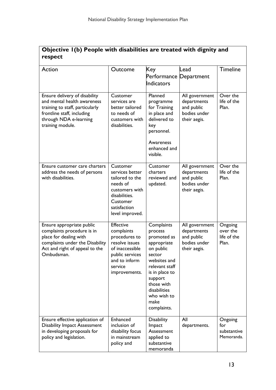| Objective I(b) People with disabilities are treated with dignity and |  |
|----------------------------------------------------------------------|--|
| respect                                                              |  |

| Action                                                                                                                                                                      | Outcome                                                                                                                                              | Key<br>Performance Department<br><b>Indicators</b>                                                                                                                                                            | Lead                                                                        | <b>Timeline</b>                             |
|-----------------------------------------------------------------------------------------------------------------------------------------------------------------------------|------------------------------------------------------------------------------------------------------------------------------------------------------|---------------------------------------------------------------------------------------------------------------------------------------------------------------------------------------------------------------|-----------------------------------------------------------------------------|---------------------------------------------|
| Ensure delivery of disability<br>and mental health awareness<br>training to staff, particularly<br>frontline staff, including<br>through NDA e-learning<br>training module. | Customer<br>services are<br>better tailored<br>to needs of<br>customers with<br>disabilities.                                                        | Planned<br>programme<br>for Training<br>in place and<br>delivered to<br>key<br>personnel.<br>Awareness<br>enhanced and<br>visible.                                                                            | All government<br>departments<br>and public<br>bodies under<br>their aegis. | Over the<br>life of the<br>Plan.            |
| Ensure customer care charters<br>address the needs of persons<br>with disabilities.                                                                                         | Customer<br>services better<br>tailored to the<br>needs of<br>customers with<br>disabilities.<br>Customer<br>satisfaction<br>level improved.         | Customer<br>charters<br>reviewed and<br>updated.                                                                                                                                                              | All government<br>departments<br>and public<br>bodies under<br>their aegis. | Over the<br>life of the<br>Plan.            |
| Ensure appropriate public<br>complaints procedure is in<br>place for dealing with<br>complaints under the Disability<br>Act and right of appeal to the<br>Ombudsman.        | <b>Effective</b><br>complaints<br>procedures to<br>resolve issues<br>of inaccessible<br>public services<br>and to inform<br>service<br>improvements. | Complaints<br>process<br>promoted as<br>appropriate<br>on public<br>sector<br>websites and<br>relevant staff<br>is in place to<br>support<br>those with<br>disabilities<br>who wish to<br>make<br>complaints. | All government<br>departments<br>and public<br>bodies under<br>their aegis. | Ongoing<br>over the<br>life of the<br>Plan. |
| Ensure effective application of<br><b>Disability Impact Assessment</b><br>in developing proposals for<br>policy and legislation.                                            | Enhanced<br>inclusion of<br>disability focus<br>in mainstream<br>policy and                                                                          | <b>Disability</b><br>Impact<br>Assessment<br>applied to<br>substantive<br>memoranda                                                                                                                           | All<br>departments.                                                         | Ongoing<br>for<br>substantive<br>Memoranda. |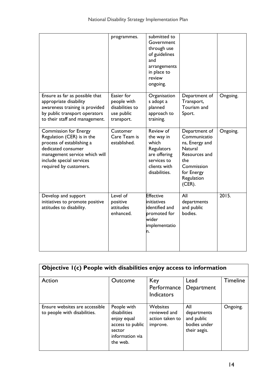|                                                                                                                                                                                                      | programmes.                                                              | submitted to<br>Government<br>through use<br>of guidelines<br>and<br>arrangements<br>in place to<br>review<br>ongoing. |                                                                                                                                           |          |
|------------------------------------------------------------------------------------------------------------------------------------------------------------------------------------------------------|--------------------------------------------------------------------------|------------------------------------------------------------------------------------------------------------------------|-------------------------------------------------------------------------------------------------------------------------------------------|----------|
| Ensure as far as possible that<br>appropriate disability<br>awareness training is provided<br>by public transport operators<br>to their staff and management.                                        | Easier for<br>people with<br>disabilities to<br>use public<br>transport. | Organisation<br>s adopt a<br>planned<br>approach to<br>training.                                                       | Department of<br>Transport,<br>Tourism and<br>Sport.                                                                                      | Ongoing. |
| <b>Commission for Energy</b><br>Regulation (CER) is in the<br>process of establishing a<br>dedicated consumer<br>management service which will<br>include special services<br>required by customers. | Customer<br>Care Team is<br>established.                                 | Review of<br>the way in<br>which<br>Regulators<br>are offering<br>services to<br>clients with<br>disabilities.         | Department of<br>Communicatio<br>ns, Energy and<br>Natural<br>Resources and<br>the<br>Commission<br>for Energy<br>Regulation<br>$(CER)$ . | Ongoing. |
| Develop and support<br>initiatives to promote positive<br>attitudes to disability.                                                                                                                   | Level of<br>positive<br>attitudes<br>enhanced.                           | <b>Effective</b><br>initiatives<br>identified and<br>promoted for<br>wider<br>implementatio<br>n.                      | All<br>departments<br>and public<br>bodies.                                                                                               | 2015.    |

| Objective I(c) People with disabilities enjoy access to information |                                                                                                         |                                                                |                                                                  |                 |
|---------------------------------------------------------------------|---------------------------------------------------------------------------------------------------------|----------------------------------------------------------------|------------------------------------------------------------------|-----------------|
| Action                                                              | <b>Outcome</b>                                                                                          | Key<br>Performance<br><b>Indicators</b>                        | Lead<br>Department                                               | <b>Timeline</b> |
| Ensure websites are accessible<br>to people with disabilities.      | People with<br>disabilities<br>enjoy equal<br>access to public<br>sector<br>information via<br>the web. | <b>Websites</b><br>reviewed and<br>action taken to<br>improve. | All<br>departments<br>and public<br>bodies under<br>their aegis. | Ongoing.        |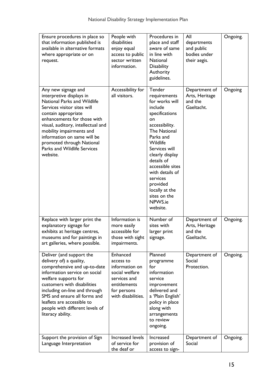| Ensure procedures in place so<br>that information published is<br>available in alternative formats<br>where appropriate or on<br>request.                                                                                                                                                                                                    | People with<br>disabilities<br>enjoy equal<br>access to public<br>sector written<br>information.                               | Procedures in<br>place and staff<br>aware of same<br>in line with<br><b>National</b><br><b>Disability</b><br>Authority<br>guidelines.                                                                                                                                                                                   | All<br>departments<br>and public<br>bodies under<br>their aegis. | Ongoing. |
|----------------------------------------------------------------------------------------------------------------------------------------------------------------------------------------------------------------------------------------------------------------------------------------------------------------------------------------------|--------------------------------------------------------------------------------------------------------------------------------|-------------------------------------------------------------------------------------------------------------------------------------------------------------------------------------------------------------------------------------------------------------------------------------------------------------------------|------------------------------------------------------------------|----------|
| Any new signage and<br>interpretive displays in<br>National Parks and Wildlife<br>Services visitor sites will<br>contain appropriate<br>enhancements for those with<br>visual, auditory, intellectual and<br>mobility impairments and<br>information on same will be<br>promoted through National<br>Parks and Wildlife Services<br>website. | Accessibility for<br>all visitors.                                                                                             | Tender<br>requirements<br>for works will<br>include<br>specifications<br>on<br>accessibility.<br><b>The National</b><br>Parks and<br>Wildlife<br>Services will<br>clearly display<br>details of<br>accessible sites<br>with details of<br>services<br>provided<br>locally at the<br>sites on the<br>NPWS.ie<br>website. | Department of<br>Arts, Heritage<br>and the<br>Gaeltacht.         | Ongoing  |
| Replace with larger print the<br>explanatory signage for<br>exhibits at heritage centres,<br>museums and for paintings in<br>art galleries, where possible.                                                                                                                                                                                  | Information is<br>more easily<br>accessible for<br>those with sight<br>impairments.                                            | Number of<br>sites with<br>larger print<br>signage.                                                                                                                                                                                                                                                                     | Department of<br>Arts, Heritage<br>and the<br>Gaeltacht.         | Ongoing. |
| Deliver (and support the<br>delivery of) a quality,<br>comprehensive and up-to-date<br>information service on social<br>welfare supports for<br>customers with disabilities<br>including on-line and through<br>SMS and ensure all forms and<br>leaflets are accessible to<br>people with different levels of<br>literacy ability.           | Enhanced<br>access to<br>information on<br>social welfare<br>services and<br>entitlements<br>for persons<br>with disabilities. | Planned<br>programme<br>for<br>information<br>service<br>improvement<br>delivered and<br>a 'Plain English'<br>policy in place<br>along with<br>arrangements<br>to review<br>ongoing.                                                                                                                                    | Department of<br>Social<br>Protection.                           | Ongoing. |
| Support the provision of Sign<br>Language Interpretation                                                                                                                                                                                                                                                                                     | Increased levels<br>of service for<br>the deaf or                                                                              | Increased<br>provision of<br>access to sign-                                                                                                                                                                                                                                                                            | Department of<br>Social                                          | Ongoing. |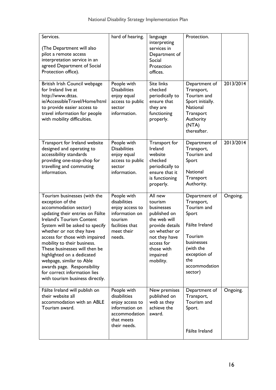| Services.<br>(The Department will also<br>pilot a remote access<br>interpretation service in an<br>agreed Department of Social<br>Protection office).                                                                                                                                                                                                                                                                                                                   | hard of hearing.                                                                                                       | language<br>interpreting<br>services in<br>Department of<br>Social<br>Protection<br>offices.                                                                               | Protection.                                                                                                                                                    |           |
|-------------------------------------------------------------------------------------------------------------------------------------------------------------------------------------------------------------------------------------------------------------------------------------------------------------------------------------------------------------------------------------------------------------------------------------------------------------------------|------------------------------------------------------------------------------------------------------------------------|----------------------------------------------------------------------------------------------------------------------------------------------------------------------------|----------------------------------------------------------------------------------------------------------------------------------------------------------------|-----------|
| British Irish Council webpage<br>for Ireland live at<br>http://www.dttas.<br>ie/AccessibleTravel/Home/html<br>to provide easier access to<br>travel information for people<br>with mobility difficulties.                                                                                                                                                                                                                                                               | People with<br><b>Disabilities</b><br>enjoy equal<br>access to public<br>sector<br>information.                        | <b>Site links</b><br>checked<br>periodically to<br>ensure that<br>they are<br>functioning<br>properly.                                                                     | Department of<br>Transport,<br>Tourism and<br>Sport initially.<br>National<br>Transport<br>Authority<br>(NTA)<br>thereafter.                                   | 2013/2014 |
| Transport for Ireland website<br>designed and operating to<br>accessibility standards<br>providing one-stop-shop for<br>travelling and commuting<br>information.                                                                                                                                                                                                                                                                                                        | People with<br><b>Disabilities</b><br>enjoy equal<br>access to public<br>sector<br>information.                        | Transport for<br>Ireland<br>website<br>checked<br>periodically to<br>ensure that it<br>is functioning<br>properly.                                                         | Department of<br>Transport,<br>Tourism and<br>Sport<br>National<br>Transport<br>Authority.                                                                     | 2013/2014 |
| Tourism businesses (with the<br>exception of the<br>accommodation sector)<br>updating their entries on Fáilte<br>Ireland's Tourism Content<br>System will be asked to specify<br>whether or not they have<br>access for those with impaired<br>mobility to their business.<br>These businesses will then be<br>highlighted on a dedicated<br>webpage, similar to Able<br>awards page. Responsibility<br>for correct information lies<br>with tourism business directly. | People with<br>disabilities<br>enjoy access to<br>information on<br>tourism<br>facilities that<br>meet their<br>needs. | All new<br>tourism<br>businesses<br>published on<br>the web will<br>provide details<br>on whether or<br>not they have<br>access for<br>those with<br>impaired<br>mobility. | Department of<br>Transport,<br>Tourism and<br>Sport<br>Fáilte Ireland<br>Tourism<br>businesses<br>(with the<br>exception of<br>the<br>accommodation<br>sector) | Ongoing.  |
| Fáilte Ireland will publish on<br>their website all<br>accommodation with an ABLE<br>Tourism award.                                                                                                                                                                                                                                                                                                                                                                     | People with<br>disabilities<br>enjoy access to<br>information on<br>accommodation<br>that meets<br>their needs.        | New premises<br>published on<br>web as they<br>achieve the<br>award.                                                                                                       | Department of<br>Transport,<br>Tourism and<br>Sport.<br>Fáilte Ireland                                                                                         | Ongoing.  |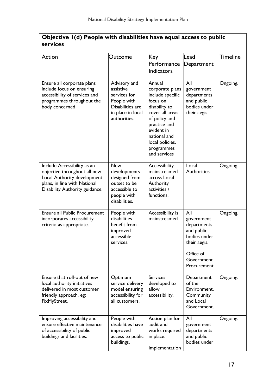| Objective I(d) People with disabilities have equal access to public<br>services                                                                              |                                                                                                                   |                                                                                                                                                                                                               |                                                                                                                          |                 |
|--------------------------------------------------------------------------------------------------------------------------------------------------------------|-------------------------------------------------------------------------------------------------------------------|---------------------------------------------------------------------------------------------------------------------------------------------------------------------------------------------------------------|--------------------------------------------------------------------------------------------------------------------------|-----------------|
| Action                                                                                                                                                       | Outcome                                                                                                           | Key<br>Performance<br><b>Indicators</b>                                                                                                                                                                       | Lead<br>Department                                                                                                       | <b>Timeline</b> |
| Ensure all corporate plans<br>include focus on ensuring<br>accessibility of services and<br>programmes throughout the<br>body concerned                      | Advisory and<br>assistive<br>services for<br>People with<br>Disabilities are<br>in place in local<br>authorities. | Annual<br>corporate plans<br>include specific<br>focus on<br>disability to<br>cover all areas<br>of policy and<br>practice and<br>evident in<br>national and<br>local policies,<br>programmes<br>and services | All<br>government<br>departments<br>and public<br>bodies under<br>their aegis.                                           | Ongoing.        |
| Include Accessibility as an<br>objective throughout all new<br>Local Authority development<br>plans, in line with National<br>Disability Authority guidance. | <b>New</b><br>developments<br>designed from<br>outset to be<br>accessible to<br>people with<br>disabilities.      | Accessibility<br>mainstreamed<br>across Local<br>Authority<br>activities /<br>functions.                                                                                                                      | Local<br>Authorities.                                                                                                    | Ongoing.        |
| <b>Ensure all Public Procurement</b><br>incorporates accessibility<br>criteria as appropriate.                                                               | People with<br>disabilities<br>benefit from<br>improved<br>accessible<br>services.                                | Accessibility is<br>mainstreamed.                                                                                                                                                                             | All<br>government<br>departments<br>and public<br>bodies under<br>their aegis.<br>Office of<br>Government<br>Procurement | Ongoing.        |
| Ensure that roll-out of new<br>local authority initiatives<br>delivered in most customer<br>friendly approach, eg:<br>FixMyStreet.                           | Optimum<br>service delivery<br>model ensuring<br>accessibility for<br>all customers.                              | <b>Services</b><br>developed to<br>allow<br>accessibility.                                                                                                                                                    | Department<br>of the<br>Environment,<br>Community<br>and Local<br>Government.                                            | Ongoing.        |

People with disabilities have improved access to public buildings.

Action plan for audit and works required All

government departments and public bodies under

Implementation

in place.

Improving accessibility and ensure effective maintenance of accessibility of public buildings and facilities.

Ongoing.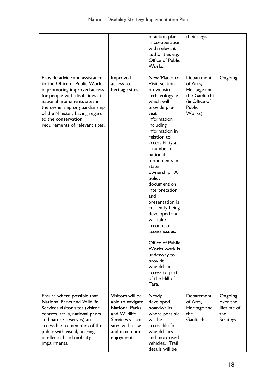|                                                                                                                                                                                                                                                                                               |                                                                                                                                                   | of action plans<br>in co-operation<br>with relevant<br>authorities e.g.<br>Office of Public<br>Works.                                                                                                                                                                                                                                                                                                                                                                                                                                        | their aegis.                                                                                 |                                                        |
|-----------------------------------------------------------------------------------------------------------------------------------------------------------------------------------------------------------------------------------------------------------------------------------------------|---------------------------------------------------------------------------------------------------------------------------------------------------|----------------------------------------------------------------------------------------------------------------------------------------------------------------------------------------------------------------------------------------------------------------------------------------------------------------------------------------------------------------------------------------------------------------------------------------------------------------------------------------------------------------------------------------------|----------------------------------------------------------------------------------------------|--------------------------------------------------------|
| Provide advice and assistance<br>to the Office of Public Works<br>in promoting improved access<br>for people with disabilities at<br>national monuments sites in<br>the ownership or guardianship<br>of the Minister, having regard<br>to the conservation<br>requirements of relevant sites. | Improved<br>access to<br>heritage sites.                                                                                                          | New 'Places to<br>Visit' section<br>on website<br>archaeology.ie<br>which will<br>provide pre-<br>visit<br>information<br>including<br>information in<br>relation to<br>accessibility at<br>a number of<br>national<br>monuments in<br>state<br>ownership. A<br>policy<br>document on<br>interpretation<br>and<br>presentation is<br>currently being<br>developed and<br>will take<br>account of<br>access issues.<br>Office of Public<br>Works work is<br>underway to<br>provide<br>wheelchair<br>access to part<br>of the Hill of<br>Tara. | Department<br>of Arts,<br>Heritage and<br>the Gaeltacht<br>(& Office of<br>Public<br>Works). | Ongoing.                                               |
| Ensure where possible that<br><b>National Parks and Wildlife</b><br>Services visitor sites (visitor<br>centres, trails, national parks<br>and nature reserves) are<br>accessible to members of the<br>public with visual, hearing,<br>intellectual and mobility<br>impairments.               | Visitors will be<br>able to navigate<br><b>National Parks</b><br>and Wildlife<br>Services visitor<br>sites with ease<br>and maximum<br>enjoyment. | Newly<br>developed<br>boardwalks<br>where possible<br>will be<br>accessible for<br>wheelchairs<br>and motorised<br>vehicles. Trail<br>details will be                                                                                                                                                                                                                                                                                                                                                                                        | Department<br>of Arts,<br>Heritage and<br>the<br>Gaeltacht.                                  | Ongoing<br>over the<br>lifetime of<br>the<br>Strategy. |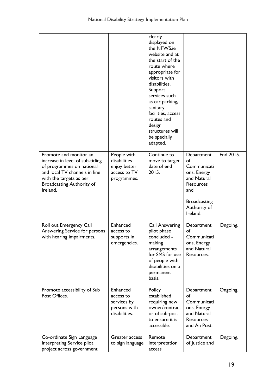|                                                                                                                                                                                              |                                                                            | clearly<br>displayed on<br>the NPWS.ie<br>website and at<br>the start of the<br>route where<br>appropriate for<br>visitors with<br>disabilities.<br>Support<br>services such<br>as car parking,<br>sanitary<br>facilities, access<br>routes and<br>design<br>structures will<br>be specially<br>adapted. |                                                                                                                                      |           |
|----------------------------------------------------------------------------------------------------------------------------------------------------------------------------------------------|----------------------------------------------------------------------------|----------------------------------------------------------------------------------------------------------------------------------------------------------------------------------------------------------------------------------------------------------------------------------------------------------|--------------------------------------------------------------------------------------------------------------------------------------|-----------|
| Promote and monitor an<br>increase in level of sub-titling<br>of programmes on national<br>and local TV channels in line<br>with the targets as per<br>Broadcasting Authority of<br>Ireland. | People with<br>disabilities<br>enjoy better<br>access to TV<br>programmes. | Continue to<br>move to target<br>date of end<br>2015.                                                                                                                                                                                                                                                    | Department<br>of<br>Communicati<br>ons, Energy<br>and Natural<br>Resources<br>and<br><b>Broadcasting</b><br>Authority of<br>Ireland. | End 2015. |
| Roll out Emergency Call<br>Answering Service for persons<br>with hearing impairments.                                                                                                        | Enhanced<br>access to<br>supports in<br>emergencies.                       | <b>Call Answering</b><br>pilot phase<br>concluded -<br>making<br>arrangements<br>for SMS for use<br>of people with<br>disabilities on a<br>permanent<br>basis.                                                                                                                                           | Department<br>of<br>Communicati<br>ons, Energy<br>and Natural<br>Resources.                                                          | Ongoing.  |
| Promote accessibility of Sub<br>Post Offices.                                                                                                                                                | Enhanced<br>access to<br>services by<br>persons with<br>disabilities.      | Policy<br>established<br>requiring new<br>owner/contract<br>or of sub-post<br>to ensure it is<br>accessible.                                                                                                                                                                                             | Department<br>of<br>Communicati<br>ons, Energy<br>and Natural<br><b>Resources</b><br>and An Post.                                    | Ongoing.  |
| Co-ordinate Sign Language<br>Interpreting Service pilot<br>project across government                                                                                                         | Greater access<br>to sign language                                         | Remote<br>interpretation<br>access                                                                                                                                                                                                                                                                       | Department<br>of Justice and                                                                                                         | Ongoing.  |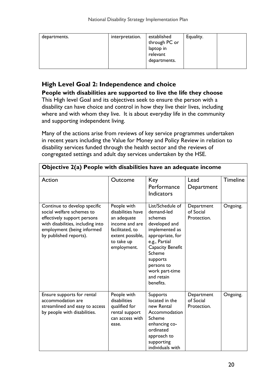| interpretation.<br>departments. | established<br>through PC or<br>laptop in<br>relevant<br>departments. | Equality. |  |
|---------------------------------|-----------------------------------------------------------------------|-----------|--|
|---------------------------------|-----------------------------------------------------------------------|-----------|--|

## High Level Goal 2: Independence and choice

People with disabilities are supported to live the life they choose

This High level Goal and its objectives seek to ensure the person with a disability can have choice and control in how they live their lives, including where and with whom they live. It is about everyday life in the community and supporting independent living.

Many of the actions arise from reviews of key service programmes undertaken in recent years including the Value for Money and Policy Review in relation to disability services funded through the health sector and the reviews of congregated settings and adult day services undertaken by the HSE.

| Objective 2(a) People with disabilities have an adequate income                                                                                                                       |                                                                                                                                       |                                                                                                                                                                                                                               |                                        |                 |  |
|---------------------------------------------------------------------------------------------------------------------------------------------------------------------------------------|---------------------------------------------------------------------------------------------------------------------------------------|-------------------------------------------------------------------------------------------------------------------------------------------------------------------------------------------------------------------------------|----------------------------------------|-----------------|--|
| Action                                                                                                                                                                                | Outcome                                                                                                                               | Key<br>Performance<br><b>Indicators</b>                                                                                                                                                                                       | Lead<br>Department                     | <b>Timeline</b> |  |
| Continue to develop specific<br>social welfare schemes to<br>effectively support persons<br>with disabilities, including into<br>employment (being informed<br>by published reports). | People with<br>disabilities have<br>an adequate<br>income and are<br>facilitated, to<br>extent possible,<br>to take up<br>employment. | List/Schedule of<br>demand-led<br>schemes<br>developed and<br>implemented as<br>appropriate, for<br>e.g., Partial<br>Capacity Benefit<br><b>Scheme</b><br>supports<br>persons to<br>work part-time<br>and retain<br>benefits. | Department<br>of Social<br>Protection. | Ongoing.        |  |
| Ensure supports for rental<br>accommodation are<br>streamlined and easy to access<br>by people with disabilities.                                                                     | People with<br>disabilities<br>qualified for<br>rental support<br>can access with<br>ease.                                            | Supports<br>located in the<br>new Rental<br>Accommodation<br>Scheme<br>enhancing co-<br>ordinated<br>approach to<br>supporting<br>individuals with                                                                            | Department<br>of Social<br>Protection. | Ongoing.        |  |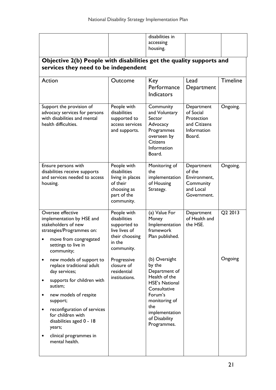|                                                                                                                                                                                                                                                                                                                           |                                                                                                         | disabilities in<br>accessing<br>housing.                                                                                                                                                |                                                                                |                 |  |  |
|---------------------------------------------------------------------------------------------------------------------------------------------------------------------------------------------------------------------------------------------------------------------------------------------------------------------------|---------------------------------------------------------------------------------------------------------|-----------------------------------------------------------------------------------------------------------------------------------------------------------------------------------------|--------------------------------------------------------------------------------|-----------------|--|--|
| Objective 2(b) People with disabilities get the quality supports and<br>services they need to be independent                                                                                                                                                                                                              |                                                                                                         |                                                                                                                                                                                         |                                                                                |                 |  |  |
| Action                                                                                                                                                                                                                                                                                                                    | Outcome                                                                                                 | Key<br>Performance<br><b>Indicators</b>                                                                                                                                                 | Lead<br>Department                                                             | <b>Timeline</b> |  |  |
| Support the provision of<br>advocacy services for persons<br>with disabilities and mental<br>health difficulties.                                                                                                                                                                                                         | People with<br>disabilities<br>supported to<br>access services<br>and supports.                         | Community<br>and Voluntary<br>Sector<br>Advocacy<br>Programmes<br>overseen by<br><b>Citizens</b><br>Information<br>Board.                                                               | Department<br>of Social<br>Protection<br>and Citizens<br>Information<br>Board. | Ongoing.        |  |  |
| Ensure persons with<br>disabilities receive supports<br>and services needed to access<br>housing.                                                                                                                                                                                                                         | People with<br>disabilities<br>living in places<br>of their<br>choosing as<br>part of the<br>community. | Monitoring of<br>the<br>implementation<br>of Housing<br>Strategy.                                                                                                                       | Department<br>of the<br>Environment,<br>Community<br>and Local<br>Government.  | Ongoing.        |  |  |
| Oversee effective<br>implementation by HSE and<br>stakeholders of new<br>strategies/Programmes on:<br>move from congregated<br>settings to live in<br>community;                                                                                                                                                          | People with<br>disabilities<br>supported to<br>live lives of<br>their choosing<br>in the<br>community.  | (a) Value For<br>Money<br>Implementation<br>framework<br>Plan published.                                                                                                                | Department<br>of Health and<br>the HSE.                                        | Q2 2013         |  |  |
| new models of support to<br>$\bullet$<br>replace traditional adult<br>day services;<br>supports for children with<br>autism;<br>new models of respite<br>٠<br>support;<br>reconfiguration of services<br>$\bullet$<br>for children with<br>disabilities aged 0 - 18<br>years;<br>clinical programmes in<br>mental health. | Progressive<br>closure of<br>residential<br>institutions.                                               | (b) Oversight<br>by the<br>Department of<br>Health of the<br><b>HSE's National</b><br>Consultative<br>Forum's<br>monitoring of<br>the<br>implementation<br>of Disability<br>Programmes. |                                                                                | Ongoing         |  |  |
|                                                                                                                                                                                                                                                                                                                           |                                                                                                         |                                                                                                                                                                                         |                                                                                |                 |  |  |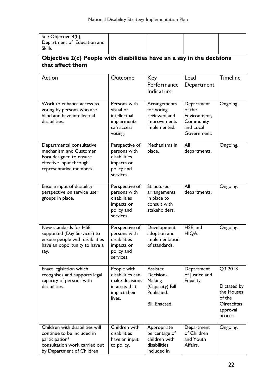| See Objective 4(b),<br>Department of Education and<br><b>Skills</b>                                                                           |                                                                                              |                                                                                          |                                                                               |                                                                                            |
|-----------------------------------------------------------------------------------------------------------------------------------------------|----------------------------------------------------------------------------------------------|------------------------------------------------------------------------------------------|-------------------------------------------------------------------------------|--------------------------------------------------------------------------------------------|
| Objective 2(c) People with disabilities have an a say in the decisions<br>that affect them                                                    |                                                                                              |                                                                                          |                                                                               |                                                                                            |
| Action                                                                                                                                        | Outcome                                                                                      | Key<br>Performance<br><b>Indicators</b>                                                  | Lead<br>Department                                                            | <b>Timeline</b>                                                                            |
| Work to enhance access to<br>voting by persons who are<br>blind and have intellectual<br>disabilities.                                        | Persons with<br>visual or<br>intellectual<br>impairments<br>can access<br>voting.            | Arrangements<br>for voting<br>reviewed and<br>improvements<br>implemented.               | Department<br>of the<br>Environment,<br>Community<br>and Local<br>Government. | Ongoing.                                                                                   |
| Departmental consultative<br>mechanism and Customer<br>Fora designed to ensure<br>effective input through<br>representative members.          | Perspective of<br>persons with<br>disabilities<br>impacts on<br>policy and<br>services.      | Mechanisms in<br>place.                                                                  | All<br>departments.                                                           | Ongoing.                                                                                   |
| Ensure input of disability<br>perspective on service user<br>groups in place.                                                                 | Perspective of<br>persons with<br>disabilities<br>impacts on<br>policy and<br>services.      | Structured<br>arrangements<br>in place to<br>consult with<br>stakeholders.               | All<br>departments.                                                           | Ongoing.                                                                                   |
| New standards for HSE<br>supported (Day Services) to<br>ensure people with disabilities<br>have an opportunity to have a<br>say.              | Perspective of<br>persons with<br>disabilities<br>impacts on<br>policy and<br>services.      | Development,<br>adoption and<br>implementation<br>of standards.                          | HSE and<br>HIQA.                                                              | Ongoing.                                                                                   |
| Enact legislation which<br>recognises and supports legal<br>capacity of persons with<br>disabilities.                                         | People with<br>disabilities can<br>make decisions<br>in areas that<br>impact their<br>lives. | Assisted<br>Decision-<br>Making<br>(Capacity) Bill<br>Published.<br><b>Bill Enacted.</b> | Department<br>of Justice and<br>Equality.                                     | Q3 2013<br>Dictated by<br>the Houses<br>of the<br><b>Oireachtas</b><br>approval<br>process |
| Children with disabilities will<br>continue to be included in<br>participation/<br>consultation work carried out<br>by Department of Children | Children with<br>disabilities<br>have an input<br>to policy.                                 | Appropriate<br>percentage of<br>children with<br>disabilities<br>included in             | Department<br>of Children<br>and Youth<br>Affairs.                            | Ongoing.                                                                                   |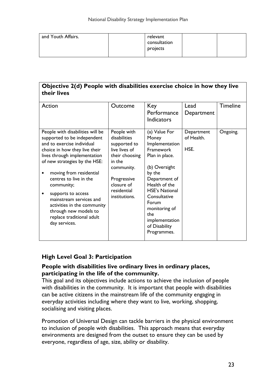| and Youth Affairs. | relevant<br>consultation<br>projects |  |
|--------------------|--------------------------------------|--|
|                    |                                      |  |

#### Objective 2(d) People with disabilities exercise choice in how they live their lives

| Action                                                                                                                                                                                                                                                                                                                                                                                                                    | Outcome                                                                                                                                                             | Key<br>Performance<br><b>Indicators</b>                                                                                                                                                                                                                          | Lead<br>Department               | <b>Timeline</b> |
|---------------------------------------------------------------------------------------------------------------------------------------------------------------------------------------------------------------------------------------------------------------------------------------------------------------------------------------------------------------------------------------------------------------------------|---------------------------------------------------------------------------------------------------------------------------------------------------------------------|------------------------------------------------------------------------------------------------------------------------------------------------------------------------------------------------------------------------------------------------------------------|----------------------------------|-----------------|
| People with disabilities will be<br>supported to be independent<br>and to exercise individual<br>choice in how they live their<br>lives through implementation<br>of new strategies by the HSE:<br>moving from residential<br>centres to live in the<br>community;<br>supports to access<br>mainstream services and<br>activities in the community<br>through new models to<br>replace traditional adult<br>day services. | People with<br>disabilities<br>supported to<br>live lives of<br>their choosing<br>in the<br>community.<br>Progressive<br>closure of<br>residential<br>institutions. | (a) Value For<br>Money<br>Implementation<br>Framework<br>Plan in place.<br>(b) Oversight<br>by the<br>Department of<br>Health of the<br><b>HSE's National</b><br>Consultative<br>Forum<br>monitoring of<br>the<br>implementation<br>of Disability<br>Programmes. | Department<br>of Health.<br>HSE. | Ongoing.        |

## High Level Goal 3: Participation

#### People with disabilities live ordinary lives in ordinary places, participating in the life of the community.

This goal and its objectives include actions to achieve the inclusion of people with disabilities in the community. It is important that people with disabilities can be active citizens in the mainstream life of the community engaging in everyday activities including where they want to live, working, shopping, socialising and visiting places.

Promotion of Universal Design can tackle barriers in the physical environment to inclusion of people with disabilities. This approach means that everyday environments are designed from the outset to ensure they can be used by everyone, regardless of age, size, ability or disability.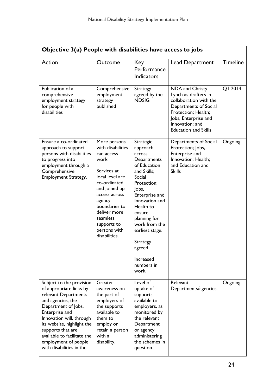| Objective 3(a) People with disabilities have access to jobs                                                                                                                                                                                                                                                 |                                                                                                                                                                                                                                                    |                                                                                                                                                                                                                                                                                                  |                                                                                                                                                                                             |                 |  |  |
|-------------------------------------------------------------------------------------------------------------------------------------------------------------------------------------------------------------------------------------------------------------------------------------------------------------|----------------------------------------------------------------------------------------------------------------------------------------------------------------------------------------------------------------------------------------------------|--------------------------------------------------------------------------------------------------------------------------------------------------------------------------------------------------------------------------------------------------------------------------------------------------|---------------------------------------------------------------------------------------------------------------------------------------------------------------------------------------------|-----------------|--|--|
| Action                                                                                                                                                                                                                                                                                                      | Outcome                                                                                                                                                                                                                                            | Key<br>Performance<br>Indicators                                                                                                                                                                                                                                                                 | <b>Lead Department</b>                                                                                                                                                                      | <b>Timeline</b> |  |  |
| Publication of a<br>comprehensive<br>employment strategy<br>for people with<br>disabilities                                                                                                                                                                                                                 | Comprehensive<br>employment<br>strategy<br>published                                                                                                                                                                                               | Strategy<br>agreed by the<br><b>NDSIG</b>                                                                                                                                                                                                                                                        | NDA and Christy<br>Lynch as drafters in<br>collaboration with the<br>Departments of Social<br>Protection; Health;<br>Jobs, Enterprise and<br>Innovation; and<br><b>Education and Skills</b> | QI 2014         |  |  |
| Ensure a co-ordinated<br>approach to support<br>persons with disabilities<br>to progress into<br>employment through a<br>Comprehensive<br>Employment Strategy.                                                                                                                                              | More persons<br>with disabilities<br>can access<br>work<br>Services at<br>local level are<br>co-ordinated<br>and joined up<br>access across<br>agency<br>boundaries to<br>deliver more<br>seamless<br>supports to<br>persons with<br>disabilities. | Strategic<br>approach<br>across<br>Departments<br>of Education<br>and Skills;<br>Social<br>Protection;<br>Jobs,<br>Enterprise and<br>Innovation and<br>Health to<br>ensure<br>planning for<br>work from the<br>earliest stage.<br><b>Strategy</b><br>agreed.<br>Increased<br>numbers in<br>work. | Departments of Social<br>Protection; Jobs,<br>Enterprise and<br>Innovation; Health;<br>and Education and<br><b>Skills</b>                                                                   | Ongoing.        |  |  |
| Subject to the provision<br>of appropriate links by<br>relevant Departments<br>and agencies, the<br>Department of Jobs,<br>Enterprise and<br>Innovation will, through<br>its website, highlight the<br>supports that are<br>available to facilitate the<br>employment of people<br>with disabilities in the | Greater<br>awareness on<br>the part of<br>employers of<br>the supports<br>available to<br>them to<br>employ or<br>retain a person<br>with a<br>disability.                                                                                         | Level of<br>uptake of<br>supports<br>available to<br>employers, as<br>monitored by<br>the relevant<br>Department<br>or agency<br>administering<br>the schemes in<br>question.                                                                                                                    | Relevant<br>Departments/agencies.                                                                                                                                                           | Ongoing.        |  |  |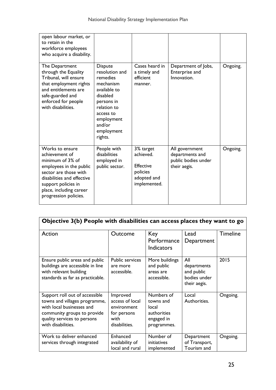| open labour market, or<br>to retain in the<br>workforce employees<br>who acquire a disability.                                                                                                                     |                                                                                                                                                                                  |                                                                                |                                                                          |          |
|--------------------------------------------------------------------------------------------------------------------------------------------------------------------------------------------------------------------|----------------------------------------------------------------------------------------------------------------------------------------------------------------------------------|--------------------------------------------------------------------------------|--------------------------------------------------------------------------|----------|
| The Department<br>through the Equality<br>Tribunal, will ensure<br>that employment rights<br>and entitlements are<br>safe-guarded and<br>enforced for people<br>with disabilities.                                 | <b>Dispute</b><br>resolution and<br>remedies<br>mechanism<br>available to<br>disabled<br>persons in<br>relation to<br>access to<br>employment<br>and/or<br>employment<br>rights. | Cases heard in<br>a timely and<br>efficient<br>manner.                         | Department of Jobs,<br>Enterprise and<br>Innovation.                     | Ongoing. |
| Works to ensure<br>achievement of<br>minimum of 3% of<br>employees in the public<br>sector are those with<br>disabilities and effective<br>support policies in<br>place, including career<br>progression policies. | People with<br>disabilities<br>employed in<br>public sector.                                                                                                                     | 3% target<br>achieved.<br>Effective<br>policies<br>adopted and<br>implemented. | All government<br>departments and<br>public bodies under<br>their aegis. | Ongoing. |

| Objective 3(b) People with disabilities can access places they want to go                                                                                                        |                                                                                    |                                                                              |                                                                  |                 |  |
|----------------------------------------------------------------------------------------------------------------------------------------------------------------------------------|------------------------------------------------------------------------------------|------------------------------------------------------------------------------|------------------------------------------------------------------|-----------------|--|
| Action                                                                                                                                                                           | Outcome                                                                            | Key<br>Performance<br><b>Indicators</b>                                      | Lead<br>Department                                               | <b>Timeline</b> |  |
| Ensure public areas and public<br>buildings are accessible in line<br>with relevant building<br>standards as far as practicable.                                                 | <b>Public services</b><br>are more<br>accessible.                                  | More buildings<br>and public<br>areas are<br>accessible.                     | All<br>departments<br>and public<br>bodies under<br>their aegis. | 2015            |  |
| Support roll out of accessible<br>towns and villages programme,<br>with local businesses and<br>community groups to provide<br>quality services to persons<br>with disabilities. | Improved<br>access of local<br>environment<br>for persons<br>with<br>disabilities. | Numbers of<br>towns and<br>local<br>authorities<br>engaged in<br>programmes. | Local<br>Authorities.                                            | Ongoing.        |  |
| Work to deliver enhanced<br>services through integrated                                                                                                                          | Enhanced<br>availability of<br>local and rural                                     | Number of<br>initiatives<br>implemented                                      | Department<br>of Transport,<br>Tourism and                       | Ongoing.        |  |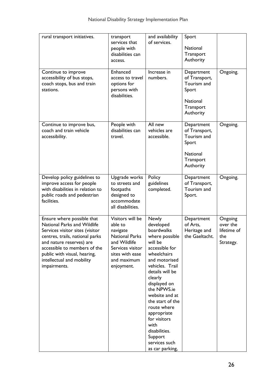| rural transport initiatives.                                                                                                                                                                                                                                             | transport<br>services that<br>people with<br>disabilities can<br>access.                                                                             | and availability<br>of services.                                                                                                                                                                                                                                                                                                                                   | Sport<br>National<br>Transport<br>Authority                                                      |                                                        |
|--------------------------------------------------------------------------------------------------------------------------------------------------------------------------------------------------------------------------------------------------------------------------|------------------------------------------------------------------------------------------------------------------------------------------------------|--------------------------------------------------------------------------------------------------------------------------------------------------------------------------------------------------------------------------------------------------------------------------------------------------------------------------------------------------------------------|--------------------------------------------------------------------------------------------------|--------------------------------------------------------|
| Continue to improve<br>accessibility of bus stops,<br>coach stops, bus and train<br>stations.                                                                                                                                                                            | Enhanced<br>access to travel<br>options for<br>persons with<br>disabilities.                                                                         | Increase in<br>numbers.                                                                                                                                                                                                                                                                                                                                            | Department<br>of Transport,<br>Tourism and<br>Sport<br><b>National</b><br>Transport<br>Authority | Ongoing.                                               |
| Continue to improve bus,<br>coach and train vehicle<br>accessibility.                                                                                                                                                                                                    | People with<br>disabilities can<br>travel.                                                                                                           | All new<br>vehicles are<br>accessible.                                                                                                                                                                                                                                                                                                                             | Department<br>of Transport,<br>Tourism and<br>Sport<br><b>National</b><br>Transport<br>Authority | Ongoing.                                               |
| Develop policy guidelines to<br>improve access for people<br>with disabilities in relation to<br>public roads and pedestrian<br>facilities.                                                                                                                              | Upgrade works<br>to streets and<br>footpaths<br>designed to<br>accommodate<br>all disabilities.                                                      | Policy<br>guidelines<br>completed.                                                                                                                                                                                                                                                                                                                                 | Department<br>of Transport,<br>Tourism and<br>Sport.                                             | Ongoing.                                               |
| Ensure where possible that<br>National Parks and Wildlife<br>Services visitor sites (visitor<br>centres, trails, national parks<br>and nature reserves) are<br>accessible to members of the<br>public with visual, hearing,<br>intellectual and mobility<br>impairments. | Visitors will be<br>able to<br>navigate<br><b>National Parks</b><br>and Wildlife<br>Services visitor<br>sites with ease<br>and maximum<br>enjoyment. | <b>Newly</b><br>developed<br>boardwalks<br>where possible<br>will be<br>accessible for<br>wheelchairs<br>and motorised<br>vehicles. Trail<br>details will be<br>clearly<br>displayed on<br>the NPWS.ie<br>website and at<br>the start of the<br>route where<br>appropriate<br>for visitors<br>with<br>disabilities.<br>Support<br>services such<br>as car parking, | Department<br>of Arts,<br>Heritage and<br>the Gaeltacht.                                         | Ongoing<br>over the<br>lifetime of<br>the<br>Strategy. |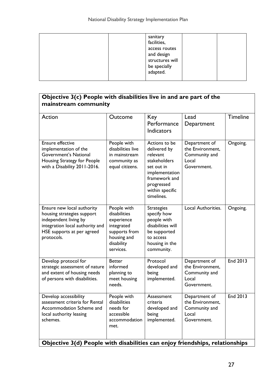| facilities,<br>access routes<br>and design<br>structures will<br>be specially<br>adapted. |
|-------------------------------------------------------------------------------------------|
|-------------------------------------------------------------------------------------------|

| Objective 3(c) People with disabilities live in and are part of the<br>mainstream community                                                                                                                |                                                                                                                    |                                                                                                                                                           |                                                                            |                 |  |
|------------------------------------------------------------------------------------------------------------------------------------------------------------------------------------------------------------|--------------------------------------------------------------------------------------------------------------------|-----------------------------------------------------------------------------------------------------------------------------------------------------------|----------------------------------------------------------------------------|-----------------|--|
| Action                                                                                                                                                                                                     | Outcome                                                                                                            | Key<br>Performance<br><b>Indicators</b>                                                                                                                   | Lead<br>Department                                                         | <b>Timeline</b> |  |
| Ensure effective<br>implementation of the<br>Government's National<br>Housing Strategy for People<br>with a Disability 2011-2016.                                                                          | People with<br>disabilities live<br>in mainstream<br>community as<br>equal citizens.                               | Actions to be<br>delivered by<br>relevant<br>stakeholders<br>set out in<br>implementation<br>framework and<br>progressed<br>within specific<br>timelines. | Department of<br>the Environment,<br>Community and<br>Local<br>Government. | Ongoing.        |  |
| Ensure new local authority<br>housing strategies support<br>independent living by<br>integration local authority and<br>HSE supports at per agreed<br>protocols.                                           | People with<br>disabilities<br>experience<br>integrated<br>supports from<br>housing and<br>disability<br>services. | <b>Strategies</b><br>specify how<br>people with<br>disabilities will<br>be supported<br>to access<br>housing in the<br>community.                         | Local Authorities.                                                         | Ongoing.        |  |
| Develop protocol for<br>strategic assessment of nature<br>and extent of housing needs<br>of persons with disabilities.                                                                                     | <b>Better</b><br>informed<br>planning to<br>meet housing<br>needs.                                                 | Protocol<br>developed and<br>being<br>implemented.                                                                                                        | Department of<br>the Environment,<br>Community and<br>Local<br>Government. | End 2013        |  |
| Develop accessibility<br>assessment criteria for Rental<br>Accommodation Scheme and<br>local authority leasing<br>schemes.<br>Objective 3(d) People with disabilities can enjoy friendships, relationships | People with<br>disabilities<br>needs for<br>accessible<br>accommodation<br>met.                                    | Assessment<br>criteria<br>developed and<br>being<br>implemented.                                                                                          | Department of<br>the Environment,<br>Community and<br>Local<br>Government. | End 2013        |  |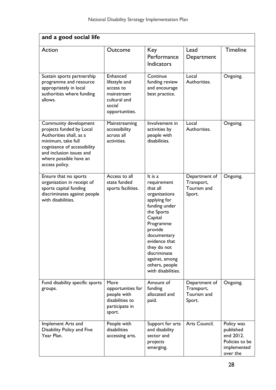| and a good social life                                                                                                                                                                                    |                                                                                                  |                                                                                                                                                                                                                                                                |                                                      |                                                                                   |  |
|-----------------------------------------------------------------------------------------------------------------------------------------------------------------------------------------------------------|--------------------------------------------------------------------------------------------------|----------------------------------------------------------------------------------------------------------------------------------------------------------------------------------------------------------------------------------------------------------------|------------------------------------------------------|-----------------------------------------------------------------------------------|--|
| Action                                                                                                                                                                                                    | Outcome                                                                                          | Key<br>Performance<br><b>Indicators</b>                                                                                                                                                                                                                        | Lead<br>Department                                   | <b>Timeline</b>                                                                   |  |
| Sustain sports partnership<br>programme and resource<br>appropriately in local<br>authorities where funding<br>allows.                                                                                    | Enhanced<br>lifestyle and<br>access to<br>mainstream<br>cultural and<br>social<br>opportunities. | Continue<br>funding review<br>and encourage<br>best practice.                                                                                                                                                                                                  | Local<br>Authorities.                                | Ongoing.                                                                          |  |
| Community development<br>projects funded by Local<br>Authorities shall, as a<br>minimum, take full<br>cognisance of accessibility<br>and inclusion issues and<br>where possible have an<br>access policy. | Mainstreaming<br>accessibility<br>across all<br>activities.                                      | Involvement in<br>activities by<br>people with<br>disabilities.                                                                                                                                                                                                | Local<br>Authorities.                                | Ongoing.                                                                          |  |
| Ensure that no sports<br>organisation in receipt of<br>sports capital funding<br>discriminates against people<br>with disabilities.                                                                       | Access to all<br>state funded<br>sports facilities.                                              | It is a<br>requirement<br>that all<br>organisations<br>applying for<br>funding under<br>the Sports<br>Capital<br>Programme<br>provide<br>documentary<br>evidence that<br>they do not<br>discriminate<br>against, among<br>others, people<br>with disabilities. | Department of<br>Transport,<br>Tourism and<br>Sport. | Ongoing.                                                                          |  |
| Fund disability specific sports<br>groups.                                                                                                                                                                | More<br>opportunities for<br>people with<br>disabilities to<br>participate in<br>sport.          | Amount of<br>funding<br>allocated and<br>paid.                                                                                                                                                                                                                 | Department of<br>Transport,<br>Tourism and<br>Sport. | Ongoing.                                                                          |  |
| Implement Arts and<br>Disability Policy and Five<br>Year Plan.                                                                                                                                            | People with<br>disabilities<br>accessing arts.                                                   | Support for arts<br>and disability<br>sector and<br>projects<br>emerging.                                                                                                                                                                                      | Arts Council.                                        | Policy was<br>published<br>end 2012.<br>Policies to be<br>implemented<br>over the |  |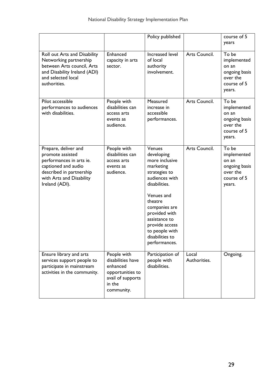|                                                                                                                                                                       |                                                                                                               | Policy published                                                                                                                                                                                                                                            |                       | course of 5<br>years                                                                |
|-----------------------------------------------------------------------------------------------------------------------------------------------------------------------|---------------------------------------------------------------------------------------------------------------|-------------------------------------------------------------------------------------------------------------------------------------------------------------------------------------------------------------------------------------------------------------|-----------------------|-------------------------------------------------------------------------------------|
| Roll out Arts and Disability<br>Networking partnership<br>between Arts council, Arts<br>and Disability Ireland (ADI)<br>and selected local<br>authorities.            | Enhanced<br>capacity in arts<br>sector.                                                                       | Increased level<br>of local<br>authority<br>involvement.                                                                                                                                                                                                    | Arts Council.         | To be<br>implemented<br>on an<br>ongoing basis<br>over the<br>course of 5<br>years. |
| Pilot accessible<br>performances to audiences<br>with disabilities.                                                                                                   | People with<br>disabilities can<br>access arts<br>events as<br>audience.                                      | Measured<br>increase in<br>accessible<br>performances.                                                                                                                                                                                                      | Arts Council.         | To be<br>implemented<br>on an<br>ongoing basis<br>over the<br>course of 5<br>years. |
| Prepare, deliver and<br>promote assisted<br>performances in arts ie.<br>captioned and audio<br>described in partnership<br>with Arts and Disability<br>Ireland (ADI). | People with<br>disabilities can<br>access arts<br>events as<br>audience.                                      | Venues<br>developing<br>more inclusive<br>marketing<br>strategies to<br>audiences with<br>disabilities.<br>Venues and<br>theatre<br>companies are<br>provided with<br>assistance to<br>provide access<br>to people with<br>disabilities to<br>performances. | Arts Council.         | To be<br>implemented<br>on an<br>ongoing basis<br>over the<br>course of 5<br>years. |
| Ensure library and arts<br>services support people to<br>participate in mainstream<br>activities in the community.                                                    | People with<br>disabilities have<br>enhanced<br>opportunities to<br>avail of supports<br>in the<br>community. | Participation of<br>people with<br>disabilities.                                                                                                                                                                                                            | Local<br>Authorities. | Ongoing.                                                                            |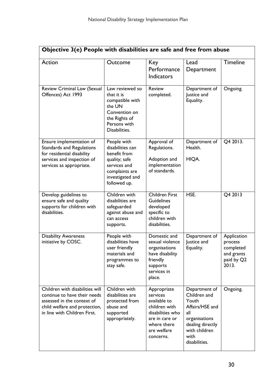| Objective 3(e) People with disabilities are safe and free from abuse                                                                                           |                                                                                                                                        |                                                                                                                                           |                                                                                                                                                 |                                                                          |
|----------------------------------------------------------------------------------------------------------------------------------------------------------------|----------------------------------------------------------------------------------------------------------------------------------------|-------------------------------------------------------------------------------------------------------------------------------------------|-------------------------------------------------------------------------------------------------------------------------------------------------|--------------------------------------------------------------------------|
| Action                                                                                                                                                         | Outcome                                                                                                                                | Key<br>Performance<br><b>Indicators</b>                                                                                                   | Lead<br>Department                                                                                                                              | <b>Timeline</b>                                                          |
| Review Criminal Law (Sexual<br>Offences) Act 1993                                                                                                              | Law reviewed so<br>that it is<br>compatible with<br>the UN<br>Convention on<br>the Rights of<br>Persons with<br>Disabilities.          | <b>Review</b><br>completed.                                                                                                               | Department of<br>Justice and<br>Equality.                                                                                                       | Ongoing.                                                                 |
| Ensure implementation of<br><b>Standards and Regulations</b><br>for residential disability<br>services and inspection of<br>services as appropriate.           | People with<br>disabilities can<br>benefit from<br>quality; safe<br>services and<br>complaints are<br>investigated and<br>followed up. | Approval of<br>Regulations.<br>Adoption and<br>implementation<br>of standards.                                                            | Department of<br>Health.<br>HIQA.                                                                                                               | Q4 2013.                                                                 |
| Develop guidelines to<br>ensure safe and quality<br>supports for children with<br>disabilities.                                                                | Children with<br>disabilities are<br>safeguarded<br>against abuse and<br>can access<br>supports.                                       | <b>Children First</b><br><b>Guidelines</b><br>developed<br>specific to<br>children with<br>disabilities.                                  | HSE.                                                                                                                                            | Q4 2013                                                                  |
| <b>Disability Awareness</b><br>initiative by COSC.                                                                                                             | People with<br>disabilities have<br>user friendly<br>materials and<br>programmes to<br>stay safe.                                      | Domestic and<br>sexual violence<br>organisations<br>have disability<br>friendly<br>supports<br>services in<br>place.                      | Department of<br>Justice and<br>Equality.                                                                                                       | Application<br>process<br>completed<br>and grants<br>paid by Q2<br>2013. |
| Children with disabilities will<br>continue to have their needs<br>assessed in the context of<br>child welfare and protection,<br>in line with Children First. | Children with<br>disabilities are<br>protected from<br>abuse and<br>supported<br>appropriately.                                        | Appropriate<br>services<br>available to<br>children with<br>disabilities who<br>are in care or<br>where there<br>are welfare<br>concerns. | Department of<br>Children and<br>Youth<br>Affairs/HSE and<br>all<br>organisations<br>dealing directly<br>with children<br>with<br>disabilities. | Ongoing.                                                                 |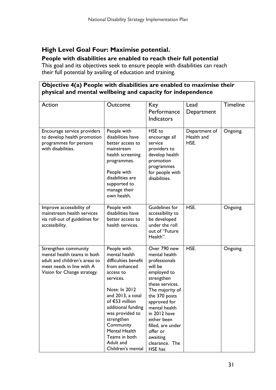## High Level Goal Four: Maximise potential.

#### People with disabilities are enabled to reach their full potential

This goal and its objectives seek to ensure people with disabilities can reach their full potential by availing of education and training.

### Objective 4(a) People with disabilities are enabled to maximise their physical and mental wellbeing and capacity for independence

| Action                                                                                                                                           | Outcome                                                                                                                                                                                                                                                                                         | Key<br>Performance<br><b>Indicators</b>                                                                                                                                                                                                                                                 | Lead<br>Department                  | <b>Timeline</b> |
|--------------------------------------------------------------------------------------------------------------------------------------------------|-------------------------------------------------------------------------------------------------------------------------------------------------------------------------------------------------------------------------------------------------------------------------------------------------|-----------------------------------------------------------------------------------------------------------------------------------------------------------------------------------------------------------------------------------------------------------------------------------------|-------------------------------------|-----------------|
| Encourage service providers<br>to develop health promotion<br>programmes for persons<br>with disabilities.                                       | People with<br>disabilities have<br>better access to<br>mainstream<br>health screening<br>programmes.<br>People with<br>disabilities are<br>supported to<br>manage their<br>own health.                                                                                                         | HSE to<br>encourage all<br>service<br>providers to<br>develop health<br>promotion<br>programmes<br>for people with<br>disabilities.                                                                                                                                                     | Department of<br>Health and<br>HSE. | Ongoing.        |
| Improve accessibility of<br>mainstream health services<br>via roll-out of guidelines for<br>accessibility.                                       | People with<br>disabilities have<br>better access to<br>health services.                                                                                                                                                                                                                        | Guidelines for<br>accessibility to<br>be developed<br>under the roll<br>out of "Future<br>Health".                                                                                                                                                                                      | HSE.                                | Ongoing.        |
| Strengthen community<br>mental health teams in both<br>adult and children's areas to<br>meet needs in line with A<br>Vision for Change strategy. | People with<br>mental health<br>difficulties benefit<br>from enhanced<br>access to<br>services.<br>Note: In 2012<br>and 2013, a total<br>of €53 million<br>additional funding<br>was provided to<br>strengthen<br>Community<br>Mental Health<br>Teams in both<br>Adult and<br>Children's mental | Over 790 new<br>mental health<br>professionals<br>will be<br>employed to<br>strengthen<br>these services.<br>The majority of<br>the 370 posts<br>approved for<br>mental health<br>in 2012 have<br>either been<br>filled, are under<br>offer or<br>awaiting<br>clearance. The<br>HSE has | HSE.                                | Ongoing.        |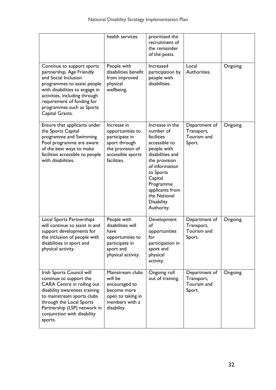|                                                                                                                                                                                                                                                                 | health services.                                                                                                           | prioritised the<br>recruitment of<br>the remainder<br>of the posts.                                                                                                                                                                   |                                                      |          |
|-----------------------------------------------------------------------------------------------------------------------------------------------------------------------------------------------------------------------------------------------------------------|----------------------------------------------------------------------------------------------------------------------------|---------------------------------------------------------------------------------------------------------------------------------------------------------------------------------------------------------------------------------------|------------------------------------------------------|----------|
| Continue to support sports<br>partnership, Age Friendly<br>and Social Inclusion<br>programmes to assist people<br>with disabilities to engage in<br>activities, including through<br>requirement of funding for<br>programmes such as Sports<br>Capital Grants. | People with<br>disabilities benefit<br>from improved<br>physical<br>wellbeing.                                             | Increased<br>participation by<br>people with<br>disabilities.                                                                                                                                                                         | Local<br>Authorities.                                | Ongoing. |
| Ensure that applicants under<br>the Sports Capital<br>programme and Swimming<br>Pool programme are aware<br>of the best ways to make<br>facilities accessible to people<br>with disabilities.                                                                   | Increase in<br>opportunities to<br>participate in<br>sport through<br>the provision of<br>accessible sports<br>facilities. | Increase in the<br>number of<br>facilities<br>accessible to<br>people with<br>disabilities and<br>the provision<br>of information<br>to Sports<br>Capital<br>Programme<br>applicants from<br>the National<br>Disability<br>Authority. | Department of<br>Transport,<br>Tourism and<br>Sport. | Ongoing. |
| Local Sports Partnerships<br>will continue to assist in and<br>support developments for<br>the inclusion of people with<br>disabilities in sport and<br>physical activity.                                                                                      | People with<br>disabilities will<br>have<br>opportunities to<br>participate in<br>sport and<br>physical activity.          | Development<br>of<br>opportunities<br>for<br>participation in<br>sport and<br>physical<br>activity.                                                                                                                                   | Department of<br>Transport,<br>Tourism and<br>Sport. | Ongoing. |
| Irish Sports Council will<br>continue to support the<br>CARA Centre in rolling out<br>disability awareness training<br>to mainstream sports clubs<br>through the Local Sports<br>Partnership (LSP) network in<br>conjunction with disability<br>sports.         | Mainstream clubs<br>will be<br>encouraged to<br>become more<br>open to taking in<br>members with a<br>disability.          | Ongoing roll<br>out of training.                                                                                                                                                                                                      | Department of<br>Transport,<br>Tourism and<br>Sport. | Ongoing. |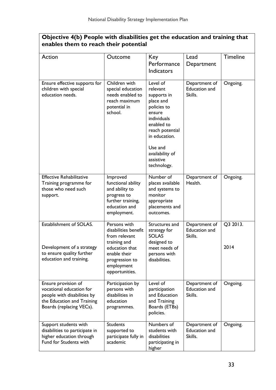| Objective 4(b) People with disabilities get the education and training that<br>enables them to reach their potential                     |                                                                                                                                                           |                                                                                                                                                                                                      |                                                  |                  |
|------------------------------------------------------------------------------------------------------------------------------------------|-----------------------------------------------------------------------------------------------------------------------------------------------------------|------------------------------------------------------------------------------------------------------------------------------------------------------------------------------------------------------|--------------------------------------------------|------------------|
| Action                                                                                                                                   | Outcome                                                                                                                                                   | Key<br>Performance<br><b>Indicators</b>                                                                                                                                                              | Lead<br>Department                               | <b>Timeline</b>  |
| Ensure effective supports for<br>children with special<br>education needs.                                                               | Children with<br>special education<br>needs enabled to<br>reach maximum<br>potential in<br>school.                                                        | Level of<br>relevant<br>supports in<br>place and<br>policies to<br>ensure<br>individuals<br>enabled to<br>reach potential<br>in education.<br>Use and<br>availability of<br>assistive<br>technology. | Department of<br><b>Education and</b><br>Skills. | Ongoing.         |
| <b>Effective Rehabilitative</b><br>Training programme for<br>those who need such<br>support.                                             | Improved<br>functional ability<br>and ability to<br>progress to<br>further training,<br>education and<br>employment.                                      | Number of<br>places available<br>and systems to<br>monitor<br>appropriate<br>placements and<br>outcomes.                                                                                             | Department of<br>Health.                         | Ongoing.         |
| Establishment of SOLAS.<br>Development of a strategy<br>to ensure quality further<br>education and training.                             | Persons with<br>disabilities benefit<br>from relevant<br>training and<br>education that<br>enable their<br>progression to<br>employment<br>opportunities. | Structures and<br>strategy for<br><b>SOLAS</b><br>designed to<br>meet needs of<br>persons with<br>disabilities.                                                                                      | Department of<br><b>Education and</b><br>Skills. | Q3 2013.<br>2014 |
| Ensure provision of<br>vocational education for<br>people with disabilities by<br>the Education and Training<br>Boards (replacing VECs). | Participation by<br>persons with<br>disabilities in<br>education<br>programmes.                                                                           | Level of<br>participation<br>and Education<br>and Training<br>Boards (ETBs)<br>policies.                                                                                                             | Department of<br><b>Education and</b><br>Skills. | Ongoing.         |
| Support students with<br>disabilities to participate in<br>higher education through<br>Fund for Students with                            | <b>Students</b><br>supported to<br>participate fully in<br>academic                                                                                       | Numbers of<br>students with<br>disabilities<br>participating in<br>higher                                                                                                                            | Department of<br><b>Education and</b><br>Skills. | Ongoing.         |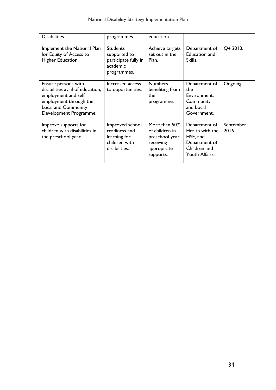| Disabilities.                                                                                                                                                    | programmes.                                                                        | education.                                                                                 |                                                                                                 |                    |
|------------------------------------------------------------------------------------------------------------------------------------------------------------------|------------------------------------------------------------------------------------|--------------------------------------------------------------------------------------------|-------------------------------------------------------------------------------------------------|--------------------|
| Implement the National Plan<br>for Equity of Access to<br>Higher Education.                                                                                      | <b>Students</b><br>supported to<br>participate fully in<br>academic<br>programmes. | Achieve targets<br>set out in the<br>Plan.                                                 | Department of<br><b>Education and</b><br>Skills.                                                | Q4 2013.           |
| Ensure persons with<br>disabilities avail of education,<br>employment and self<br>employment through the<br><b>Local and Community</b><br>Development Programme. | Increased access<br>to opportunities.                                              | <b>Numbers</b><br>benefiting from<br>the<br>programme.                                     | Department of<br>the<br>Environment,<br>Community<br>and Local<br>Government.                   | Ongoing.           |
| Improve supports for<br>children with disabilities in<br>the preschool year.                                                                                     | Improved school<br>readiness and<br>learning for<br>children with<br>disabilities. | More than 50%<br>of children in<br>preschool year<br>receiving<br>appropriate<br>supports. | Department of<br>Health with the<br>HSE, and<br>Department of<br>Children and<br>Youth Affairs. | September<br>2016. |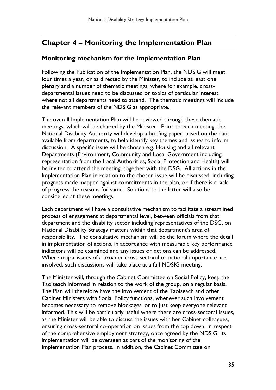# Chapter 4 – Monitoring the Implementation Plan

## Monitoring mechanism for the Implementation Plan

Following the Publication of the Implementation Plan, the NDSIG will meet four times a year, or as directed by the Minister, to include at least one plenary and a number of thematic meetings, where for example, crossdepartmental issues need to be discussed or topics of particular interest, where not all departments need to attend. The thematic meetings will include the relevant members of the NDSIG as appropriate.

The overall Implementation Plan will be reviewed through these thematic meetings, which will be chaired by the Minister. Prior to each meeting, the National Disability Authority will develop a briefing paper, based on the data available from departments, to help identify key themes and issues to inform discussion. A specific issue will be chosen e.g. Housing and all relevant Departments (Environment, Community and Local Government including representation from the Local Authorities, Social Protection and Health) will be invited to attend the meeting, together with the DSG. All actions in the Implementation Plan in relation to the chosen issue will be discussed, including progress made mapped against commitments in the plan, or if there is a lack of progress the reasons for same. Solutions to the latter will also be considered at these meetings.

Each department will have a consultative mechanism to facilitate a streamlined process of engagement at departmental level, between officials from that department and the disability sector including representatives of the DSG, on National Disability Strategy matters within that department's area of responsibility. The consultative mechanism will be the forum where the detail in implementation of actions, in accordance with measurable key performance indicators will be examined and any issues on actions can be addressed. Where major issues of a broader cross-sectoral or national importance are involved, such discussions will take place at a full NDSIG meeting.

The Minister will, through the Cabinet Committee on Social Policy, keep the Taoiseach informed in relation to the work of the group, on a regular basis. The Plan will therefore have the involvement of the Taoiseach and other Cabinet Ministers with Social Policy functions, whenever such involvement becomes necessary to remove blockages, or to just keep everyone relevant informed. This will be particularly useful where there are cross-sectoral issues, as the Minister will be able to discuss the issues with her Cabinet colleagues, ensuring cross-sectoral co-operation on issues from the top down. In respect of the comprehensive employment strategy, once agreed by the NDSIG, its implementation will be overseen as part of the monitoring of the Implementation Plan process. In addition, the Cabinet Committee on